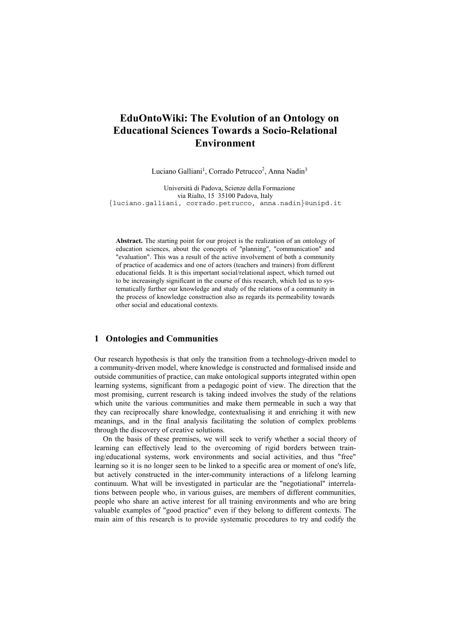# **EduOntoWiki: The Evolution of an Ontology on Educational Sciences Towards a Socio-Relational Environment**

Luciano Galliani<sup>1</sup>, Corrado Petrucco<sup>2</sup>, Anna Nadin<sup>3</sup>

Università di Padova, Scienze della Formazione via Rialto, 15 35100 Padova, Italy {luciano.galliani, corrado.petrucco, anna.nadin}@unipd.it

**Abstract.** The starting point for our project is the realization of an ontology of education sciences, about the concepts of "planning", "communication" and "evaluation". This was a result of the active involvement of both a community of practice of academics and one of actors (teachers and trainers) from different educational fields. It is this important social/relational aspect, which turned out to be increasingly significant in the course of this research, which led us to systematically further our knowledge and study of the relations of a community in the process of knowledge construction also as regards its permeability towards other social and educational contexts.

# **1 Ontologies and Communities**

Our research hypothesis is that only the transition from a technology-driven model to a community-driven model, where knowledge is constructed and formalised inside and outside communities of practice, can make ontological supports integrated within open learning systems, significant from a pedagogic point of view. The direction that the most promising, current research is taking indeed involves the study of the relations which unite the various communities and make them permeable in such a way that they can reciprocally share knowledge, contextualising it and enriching it with new meanings, and in the final analysis facilitating the solution of complex problems through the discovery of creative solutions.

On the basis of these premises, we will seek to verify whether a social theory of learning can effectively lead to the overcoming of rigid borders between training/educational systems, work environments and social activities, and thus "free" learning so it is no longer seen to be linked to a specific area or moment of one's life, but actively constructed in the inter-community interactions of a lifelong learning continuum. What will be investigated in particular are the "negotiational" interrelations between people who, in various guises, are members of different communities, people who share an active interest for all training environments and who are bring valuable examples of "good practice" even if they belong to different contexts. The main aim of this research is to provide systematic procedures to try and codify the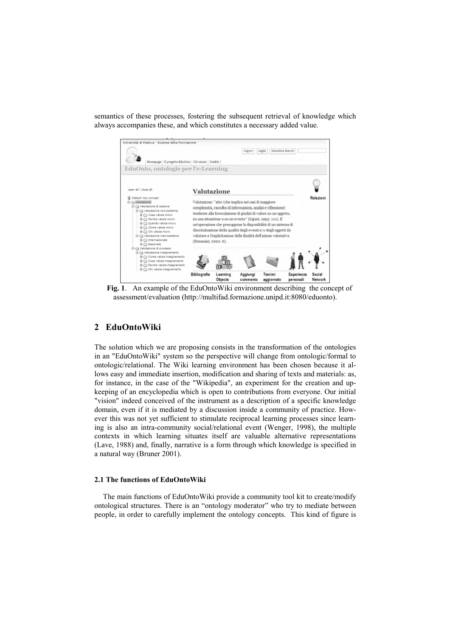semantics of these processes, fostering the subsequent retrieval of knowledge which always accompanies these, and which constitutes a necessary added value.



**Fig. 1**. An example of the EduOntoWiki environment describing the concept of assessment/evaluation (http://multifad.formazione.unipd.it:8080/eduonto).

## **2 EduOntoWiki**

The solution which we are proposing consists in the transformation of the ontologies in an "EduOntoWiki" system so the perspective will change from ontologic/formal to ontologic/relational. The Wiki learning environment has been chosen because it allows easy and immediate insertion, modification and sharing of texts and materials: as, for instance, in the case of the "Wikipedia", an experiment for the creation and upkeeping of an encyclopedia which is open to contributions from everyone. Our initial "vision" indeed conceived of the instrument as a description of a specific knowledge domain, even if it is mediated by a discussion inside a community of practice. However this was not yet sufficient to stimulate reciprocal learning processes since learning is also an intra-community social/relational event (Wenger, 1998), the multiple contexts in which learning situates itself are valuable alternative representations (Lave, 1988) and, finally, narrative is a form through which knowledge is specified in a natural way (Bruner 2001).

#### **2.1 The functions of EduOntoWiki**

The main functions of EduOntoWiki provide a community tool kit to create/modify ontological structures. There is an "ontology moderator" who try to mediate between people, in order to carefully implement the ontology concepts. This kind of figure is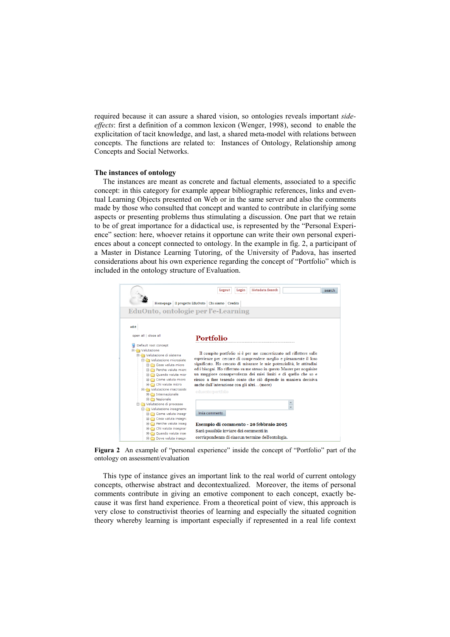required because it can assure a shared vision, so ontologies reveals important *sideeffects*: first a definition of a common lexicon (Wenger, 1998), second to enable the explicitation of tacit knowledge, and last, a shared meta-model with relations between concepts. The functions are related to: Instances of Ontology, Relationship among Concepts and Social Networks.

#### **The instances of ontology**

The instances are meant as concrete and factual elements, associated to a specific concept: in this category for example appear bibliographic references, links and eventual Learning Objects presented on Web or in the same server and also the comments made by those who consulted that concept and wanted to contribute in clarifying some aspects or presenting problems thus stimulating a discussion. One part that we retain to be of great importance for a didactical use, is represented by the "Personal Experience" section: here, whoever retains it opportune can write their own personal experiences about a concept connected to ontology. In the example in fig. 2, a participant of a Master in Distance Learning Tutoring, of the University of Padova, has inserted considerations about his own experience regarding the concept of "Portfolio" which is included in the ontology structure of Evaluation.



**Figura 2** An example of "personal experience" inside the concept of "Portfolio" part of the ontology on assessment/evaluation

This type of instance gives an important link to the real world of current ontology concepts, otherwise abstract and decontextualized. Moreover, the items of personal comments contribute in giving an emotive component to each concept, exactly because it was first hand experience. From a theoretical point of view, this approach is very close to constructivist theories of learning and especially the situated cognition theory whereby learning is important especially if represented in a real life context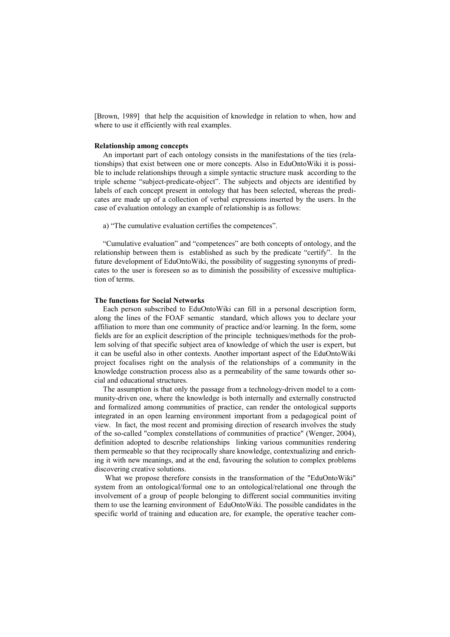[Brown, 1989] that help the acquisition of knowledge in relation to when, how and where to use it efficiently with real examples.

#### **Relationship among concepts**

An important part of each ontology consists in the manifestations of the ties (relationships) that exist between one or more concepts. Also in EduOntoWiki it is possible to include relationships through a simple syntactic structure mask according to the triple scheme "subject-predicate-object". The subjects and objects are identified by labels of each concept present in ontology that has been selected, whereas the predicates are made up of a collection of verbal expressions inserted by the users. In the case of evaluation ontology an example of relationship is as follows:

a) "The cumulative evaluation certifies the competences".

"Cumulative evaluation" and "competences" are both concepts of ontology, and the relationship between them is established as such by the predicate "certify". In the future development of EduOntoWiki, the possibility of suggesting synonyms of predicates to the user is foreseen so as to diminish the possibility of excessive multiplication of terms.

#### **The functions for Social Networks**

Each person subscribed to EduOntoWiki can fill in a personal description form, along the lines of the FOAF semantic standard, which allows you to declare your affiliation to more than one community of practice and/or learning. In the form, some fields are for an explicit description of the principle techniques/methods for the problem solving of that specific subject area of knowledge of which the user is expert, but it can be useful also in other contexts. Another important aspect of the EduOntoWiki project focalises right on the analysis of the relationships of a community in the knowledge construction process also as a permeability of the same towards other social and educational structures.

The assumption is that only the passage from a technology-driven model to a community-driven one, where the knowledge is both internally and externally constructed and formalized among communities of practice, can render the ontological supports integrated in an open learning environment important from a pedagogical point of view. In fact, the most recent and promising direction of research involves the study of the so-called "complex constellations of communities of practice" (Wenger, 2004), definition adopted to describe relationships linking various communities rendering them permeable so that they reciprocally share knowledge, contextualizing and enriching it with new meanings, and at the end, favouring the solution to complex problems discovering creative solutions.

 What we propose therefore consists in the transformation of the "EduOntoWiki" system from an ontological/formal one to an ontological/relational one through the involvement of a group of people belonging to different social communities inviting them to use the learning environment of EduOntoWiki. The possible candidates in the specific world of training and education are, for example, the operative teacher com-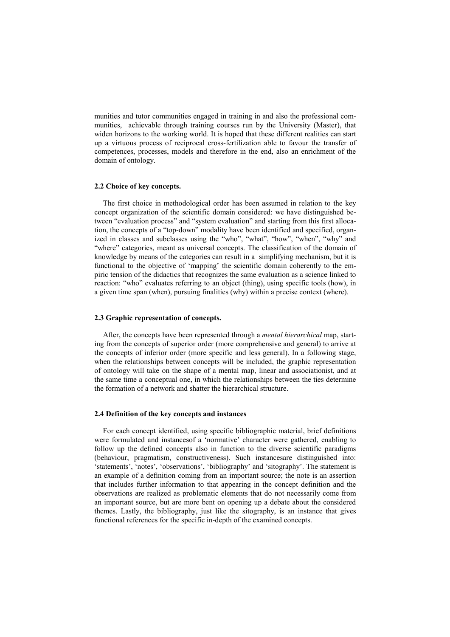munities and tutor communities engaged in training in and also the professional communities, achievable through training courses run by the University (Master), that widen horizons to the working world. It is hoped that these different realities can start up a virtuous process of reciprocal cross-fertilization able to favour the transfer of competences, processes, models and therefore in the end, also an enrichment of the domain of ontology.

#### **2.2 Choice of key concepts.**

The first choice in methodological order has been assumed in relation to the key concept organization of the scientific domain considered: we have distinguished between "evaluation process" and "system evaluation" and starting from this first allocation, the concepts of a "top-down" modality have been identified and specified, organized in classes and subclasses using the "who", "what", "how", "when", "why" and "where" categories, meant as universal concepts. The classification of the domain of knowledge by means of the categories can result in a simplifying mechanism, but it is functional to the objective of 'mapping' the scientific domain coherently to the empiric tension of the didactics that recognizes the same evaluation as a science linked to reaction: "who" evaluates referring to an object (thing), using specific tools (how), in a given time span (when), pursuing finalities (why) within a precise context (where).

### **2.3 Graphic representation of concepts.**

After, the concepts have been represented through a *mental hierarchical* map, starting from the concepts of superior order (more comprehensive and general) to arrive at the concepts of inferior order (more specific and less general). In a following stage, when the relationships between concepts will be included, the graphic representation of ontology will take on the shape of a mental map, linear and associationist, and at the same time a conceptual one, in which the relationships between the ties determine the formation of a network and shatter the hierarchical structure.

#### **2.4 Definition of the key concepts and instances**

For each concept identified, using specific bibliographic material, brief definitions were formulated and instancesof a 'normative' character were gathered, enabling to follow up the defined concepts also in function to the diverse scientific paradigms (behaviour, pragmatism, constructiveness). Such instancesare distinguished into: 'statements', 'notes', 'observations', 'bibliography' and 'sitography'. The statement is an example of a definition coming from an important source; the note is an assertion that includes further information to that appearing in the concept definition and the observations are realized as problematic elements that do not necessarily come from an important source, but are more bent on opening up a debate about the considered themes. Lastly, the bibliography, just like the sitography, is an instance that gives functional references for the specific in-depth of the examined concepts.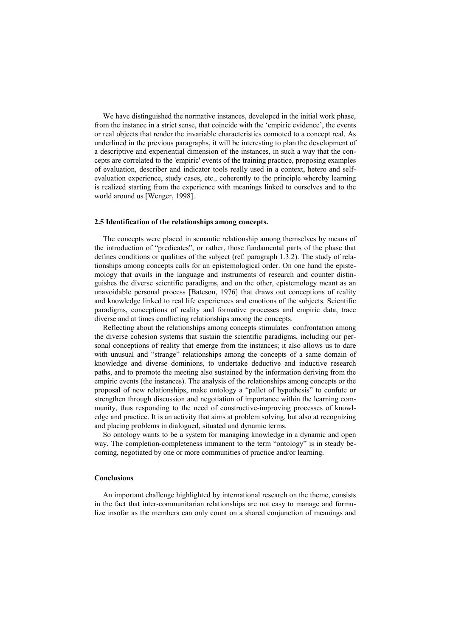We have distinguished the normative instances, developed in the initial work phase, from the instance in a strict sense, that coincide with the 'empiric evidence', the events or real objects that render the invariable characteristics connoted to a concept real. As underlined in the previous paragraphs, it will be interesting to plan the development of a descriptive and experiential dimension of the instances, in such a way that the concepts are correlated to the 'empiric' events of the training practice, proposing examples of evaluation, describer and indicator tools really used in a context, hetero and selfevaluation experience, study cases, etc., coherently to the principle whereby learning is realized starting from the experience with meanings linked to ourselves and to the world around us [Wenger, 1998].

#### **2.5 Identification of the relationships among concepts.**

The concepts were placed in semantic relationship among themselves by means of the introduction of "predicates", or rather, those fundamental parts of the phase that defines conditions or qualities of the subject (ref. paragraph 1.3.2). The study of relationships among concepts calls for an epistemological order. On one hand the epistemology that avails in the language and instruments of research and counter distinguishes the diverse scientific paradigms, and on the other, epistemology meant as an unavoidable personal process [Bateson, 1976] that draws out conceptions of reality and knowledge linked to real life experiences and emotions of the subjects. Scientific paradigms, conceptions of reality and formative processes and empiric data, trace diverse and at times conflicting relationships among the concepts.

Reflecting about the relationships among concepts stimulates confrontation among the diverse cohesion systems that sustain the scientific paradigms, including our personal conceptions of reality that emerge from the instances; it also allows us to dare with unusual and "strange" relationships among the concepts of a same domain of knowledge and diverse dominions, to undertake deductive and inductive research paths, and to promote the meeting also sustained by the information deriving from the empiric events (the instances). The analysis of the relationships among concepts or the proposal of new relationships, make ontology a "pallet of hypothesis" to confute or strengthen through discussion and negotiation of importance within the learning community, thus responding to the need of constructive-improving processes of knowledge and practice. It is an activity that aims at problem solving, but also at recognizing and placing problems in dialogued, situated and dynamic terms.

So ontology wants to be a system for managing knowledge in a dynamic and open way. The completion-completeness immanent to the term "ontology" is in steady becoming, negotiated by one or more communities of practice and/or learning.

### **Conclusions**

An important challenge highlighted by international research on the theme, consists in the fact that inter-communitarian relationships are not easy to manage and formulize insofar as the members can only count on a shared conjunction of meanings and